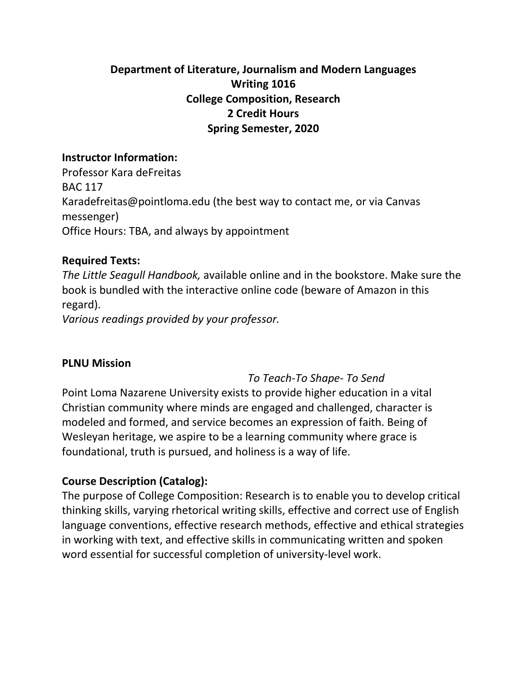# **Department of Literature, Journalism and Modern Languages Writing 1016 College Composition, Research 2 Credit Hours Spring Semester, 2020**

#### **Instructor Information:**

Professor Kara deFreitas BAC 117 Karadefreitas@pointloma.edu (the best way to contact me, or via Canvas messenger) Office Hours: TBA, and always by appointment

# **Required Texts:**

*The Little Seagull Handbook,* available online and in the bookstore. Make sure the book is bundled with the interactive online code (beware of Amazon in this regard).

*Various readings provided by your professor.*

#### **PLNU Mission**

# *To Teach-To Shape- To Send*

Point Loma Nazarene University exists to provide higher education in a vital Christian community where minds are engaged and challenged, character is modeled and formed, and service becomes an expression of faith. Being of Wesleyan heritage, we aspire to be a learning community where grace is foundational, truth is pursued, and holiness is a way of life.

# **Course Description (Catalog):**

The purpose of College Composition: Research is to enable you to develop critical thinking skills, varying rhetorical writing skills, effective and correct use of English language conventions, effective research methods, effective and ethical strategies in working with text, and effective skills in communicating written and spoken word essential for successful completion of university-level work.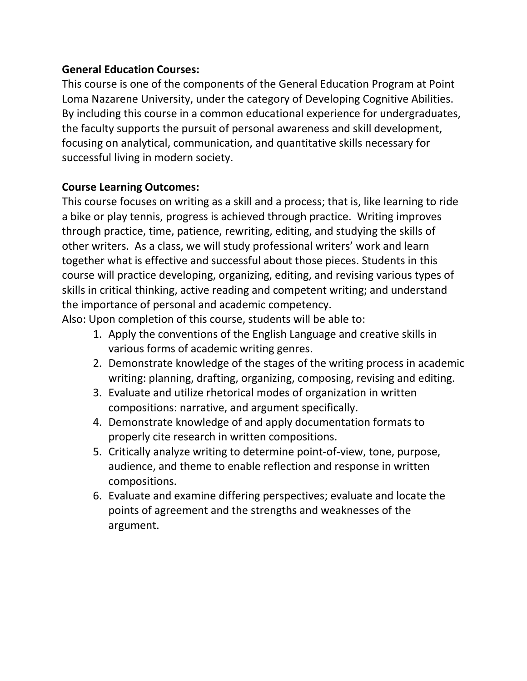# **General Education Courses:**

This course is one of the components of the General Education Program at Point Loma Nazarene University, under the category of Developing Cognitive Abilities. By including this course in a common educational experience for undergraduates, the faculty supports the pursuit of personal awareness and skill development, focusing on analytical, communication, and quantitative skills necessary for successful living in modern society.

# **Course Learning Outcomes:**

This course focuses on writing as a skill and a process; that is, like learning to ride a bike or play tennis, progress is achieved through practice. Writing improves through practice, time, patience, rewriting, editing, and studying the skills of other writers. As a class, we will study professional writers' work and learn together what is effective and successful about those pieces. Students in this course will practice developing, organizing, editing, and revising various types of skills in critical thinking, active reading and competent writing; and understand the importance of personal and academic competency.

Also: Upon completion of this course, students will be able to:

- 1. Apply the conventions of the English Language and creative skills in various forms of academic writing genres.
- 2. Demonstrate knowledge of the stages of the writing process in academic writing: planning, drafting, organizing, composing, revising and editing.
- 3. Evaluate and utilize rhetorical modes of organization in written compositions: narrative, and argument specifically.
- 4. Demonstrate knowledge of and apply documentation formats to properly cite research in written compositions.
- 5. Critically analyze writing to determine point-of-view, tone, purpose, audience, and theme to enable reflection and response in written compositions.
- 6. Evaluate and examine differing perspectives; evaluate and locate the points of agreement and the strengths and weaknesses of the argument.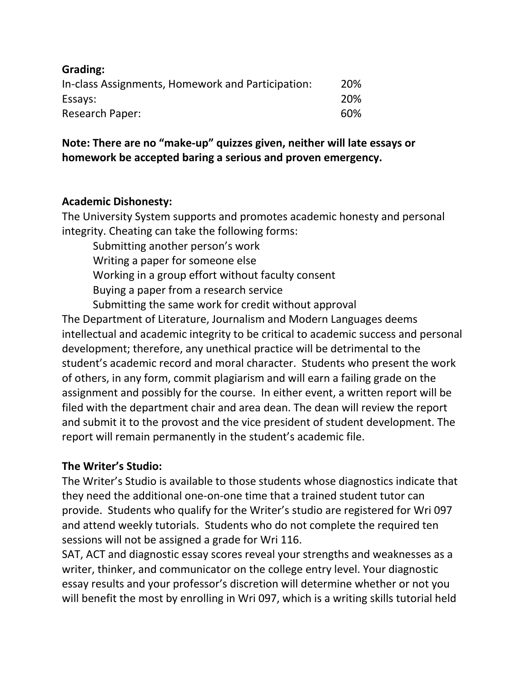| <b>Grading:</b>                                   |     |
|---------------------------------------------------|-----|
| In-class Assignments, Homework and Participation: | 20% |
| Essays:                                           | 20% |
| <b>Research Paper:</b>                            | 60% |

# **Note: There are no "make-up" quizzes given, neither will late essays or homework be accepted baring a serious and proven emergency.**

# **Academic Dishonesty:**

The University System supports and promotes academic honesty and personal integrity. Cheating can take the following forms:

Submitting another person's work

Writing a paper for someone else

Working in a group effort without faculty consent

Buying a paper from a research service

Submitting the same work for credit without approval

The Department of Literature, Journalism and Modern Languages deems intellectual and academic integrity to be critical to academic success and personal development; therefore, any unethical practice will be detrimental to the student's academic record and moral character. Students who present the work of others, in any form, commit plagiarism and will earn a failing grade on the assignment and possibly for the course. In either event, a written report will be filed with the department chair and area dean. The dean will review the report and submit it to the provost and the vice president of student development. The report will remain permanently in the student's academic file.

#### **The Writer's Studio:**

The Writer's Studio is available to those students whose diagnostics indicate that they need the additional one-on-one time that a trained student tutor can provide. Students who qualify for the Writer's studio are registered for Wri 097 and attend weekly tutorials. Students who do not complete the required ten sessions will not be assigned a grade for Wri 116.

SAT, ACT and diagnostic essay scores reveal your strengths and weaknesses as a writer, thinker, and communicator on the college entry level. Your diagnostic essay results and your professor's discretion will determine whether or not you will benefit the most by enrolling in Wri 097, which is a writing skills tutorial held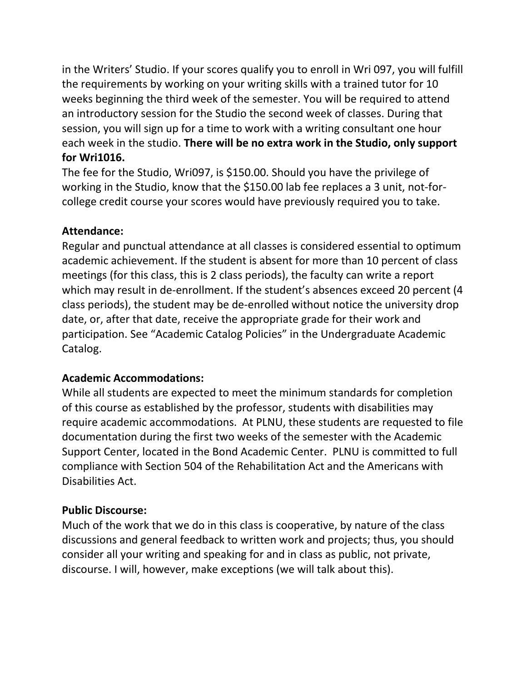in the Writers' Studio. If your scores qualify you to enroll in Wri 097, you will fulfill the requirements by working on your writing skills with a trained tutor for 10 weeks beginning the third week of the semester. You will be required to attend an introductory session for the Studio the second week of classes. During that session, you will sign up for a time to work with a writing consultant one hour each week in the studio. **There will be no extra work in the Studio, only support for Wri1016.** 

The fee for the Studio, Wri097, is \$150.00. Should you have the privilege of working in the Studio, know that the \$150.00 lab fee replaces a 3 unit, not-forcollege credit course your scores would have previously required you to take.

# **Attendance:**

Regular and punctual attendance at all classes is considered essential to optimum academic achievement. If the student is absent for more than 10 percent of class meetings (for this class, this is 2 class periods), the faculty can write a report which may result in de-enrollment. If the student's absences exceed 20 percent (4 class periods), the student may be de-enrolled without notice the university drop date, or, after that date, receive the appropriate grade for their work and participation. See "Academic Catalog Policies" in the Undergraduate Academic Catalog.

#### **Academic Accommodations:**

While all students are expected to meet the minimum standards for completion of this course as established by the professor, students with disabilities may require academic accommodations. At PLNU, these students are requested to file documentation during the first two weeks of the semester with the Academic Support Center, located in the Bond Academic Center. PLNU is committed to full compliance with Section 504 of the Rehabilitation Act and the Americans with Disabilities Act.

#### **Public Discourse:**

Much of the work that we do in this class is cooperative, by nature of the class discussions and general feedback to written work and projects; thus, you should consider all your writing and speaking for and in class as public, not private, discourse. I will, however, make exceptions (we will talk about this).